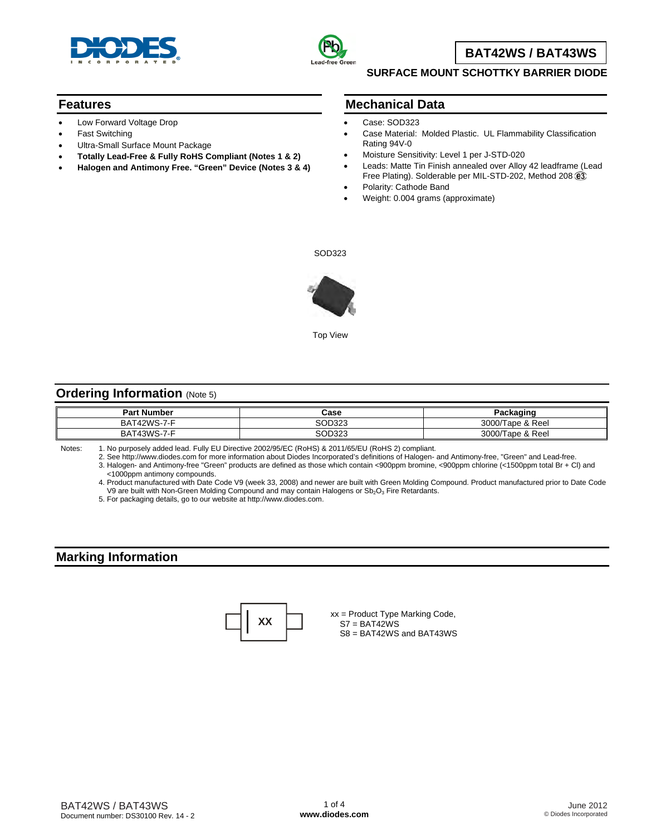



## **BAT42WS / BAT43WS**

#### **SURFACE MOUNT SCHOTTKY BARRIER DIODE**

### **Features**

- Low Forward Voltage Drop
- **Fast Switching**
- Ultra-Small Surface Mount Package
- **Totally Lead-Free & Fully RoHS Compliant (Notes 1 & 2)**
- **Halogen and Antimony Free. "Green" Device (Notes 3 & 4)**

## **Mechanical Data**

- Case: SOD323
- Case Material: Molded Plastic. UL Flammability Classification Rating 94V-0
- Moisture Sensitivity: Level 1 per J-STD-020
- Leads: Matte Tin Finish annealed over Alloy 42 leadframe (Lead Free Plating). Solderable per MIL-STD-202, Method 208  $\widehat{e3}$
- Polarity: Cathode Band
- Weight: 0.004 grams (approximate)

SOD323



Top View

#### **Ordering Information** (Note 5)

| <b>Part Number</b> | Case   | Packaging              |
|--------------------|--------|------------------------|
| 142WS-7-F<br>BAT   | SOD323 | 3000/Tape & Reel       |
| 143WS-7-F<br>BAT   | SOD323 | 3000/Ta<br>Tape & Reel |

Notes: 1. No purposely added lead. Fully EU Directive 2002/95/EC (RoHS) & 2011/65/EU (RoHS 2) compliant.

 2. See [http://www.diodes.com fo](http://www.diodes.com)r more information about Diodes Incorporated's definitions of Halogen- and Antimony-free, "Green" and Lead-free. 3. Halogen- and Antimony-free "Green" products are defined as those which contain <900ppm bromine, <900ppm chlorine (<1500ppm total Br + Cl) and

 <1000ppm antimony compounds. 4. Product manufactured with Date Code V9 (week 33, 2008) and newer are built with Green Molding Compound. Product manufactured prior to Date Code

V9 are built with Non-Green Molding Compound and may contain Halogens or Sb<sub>2</sub>O<sub>3</sub> Fire Retardants.

5. For packaging details, go to our website at [http://www.diodes.com.](http://www.diodes.com)

## **Marking Information**



xx = Product Type Marking Code,  $S7 = BAT42WS$ S8 = BAT42WS and BAT43WS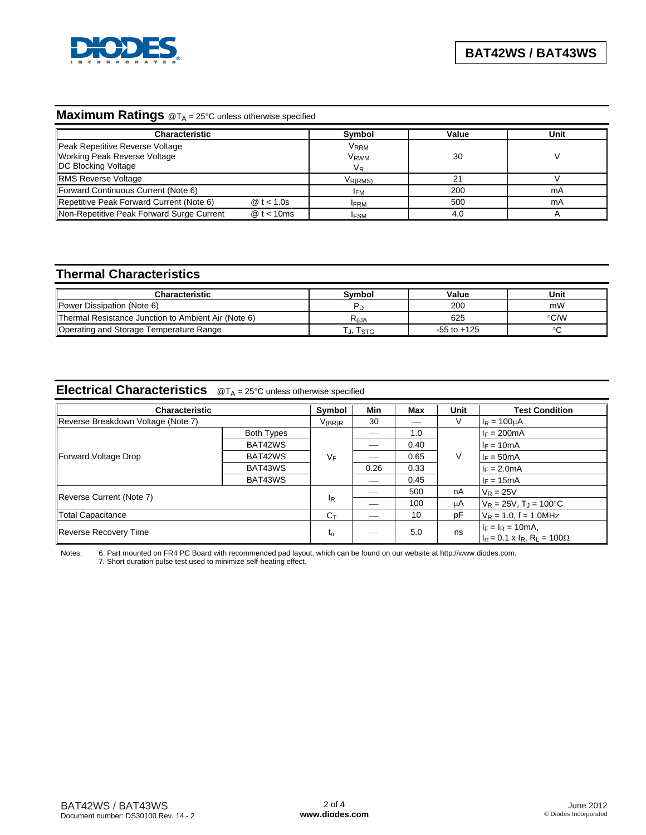

## **Maximum Ratings** @T<sub>A</sub> = 25°C unless otherwise specified

| <b>Characteristic</b>                                                                         | Symbol                                | Value | Unit |
|-----------------------------------------------------------------------------------------------|---------------------------------------|-------|------|
| Peak Repetitive Reverse Voltage<br><b>Working Peak Reverse Voltage</b><br>DC Blocking Voltage | <b>VRRM</b><br>V <sub>RWM</sub><br>VR | 30    |      |
| RMS Reverse Voltage                                                                           | V <sub>R(RMS)</sub>                   | 21    |      |
| Forward Continuous Current (Note 6)                                                           | <b>IFM</b>                            | 200   | mA   |
| Repetitive Peak Forward Current (Note 6)<br>@ t < 1.0s                                        | <b>IFRM</b>                           | 500   | mA   |
| Non-Repetitive Peak Forward Surge Current<br>@t < 10ms                                        | <b>IFSM</b>                           | 4.0   |      |

# **Thermal Characteristics**

| <b>Characteristic</b>                               | Svmbol    | Value           | Unit |
|-----------------------------------------------------|-----------|-----------------|------|
| Power Dissipation (Note 6)                          |           | 200             | mW   |
| Thermal Resistance Junction to Ambient Air (Note 6) | $R_{AJA}$ | 625             | °C/W |
| Operating and Storage Temperature Range             | J, ISTG   | $-55$ to $+125$ |      |

# **Electrical Characteristics** @TA = 25°C unless otherwise specified

| Characteristic                     |            | Symbol         | Min  | Max  | Unit | <b>Test Condition</b>                                                            |
|------------------------------------|------------|----------------|------|------|------|----------------------------------------------------------------------------------|
| Reverse Breakdown Voltage (Note 7) |            | $V_{(BR)R}$    | 30   |      | V    | $I_R = 100 \mu A$                                                                |
| Forward Voltage Drop               | Both Types | VF             |      | 1.0  | V    | $I_F = 200mA$                                                                    |
|                                    | BAT42WS    |                |      | 0.40 |      | $I_F = 10mA$                                                                     |
|                                    | BAT42WS    |                |      | 0.65 |      | $I_F = 50mA$                                                                     |
|                                    | BAT43WS    |                | 0.26 | 0.33 |      | $F = 2.0mA$                                                                      |
|                                    | BAT43WS    |                |      | 0.45 |      | $I_F = 15mA$                                                                     |
| Reverse Current (Note 7)           |            | lR             |      | 500  | nA   | $V_R = 25V$                                                                      |
|                                    |            |                |      | 100  | μA   | $V_R = 25V$ , $T_J = 100^{\circ}C$                                               |
| <b>Total Capacitance</b>           |            | $C_{\text{T}}$ |      | 10   | pF   | $V_R = 1.0$ , f = 1.0MHz                                                         |
| Reverse Recovery Time              |            | $t_{rr}$       |      | 5.0  | ns   | $I_F = I_R = 10mA,$<br>$I_{rr} = 0.1 \times I_R$ , R <sub>L</sub> = 100 $\Omega$ |

Notes: 6. Part mounted on FR4 PC Board with recommended pad layout, which can be found on our website at [http://www.diodes.com.](http://www.diodes.com)

7. Short duration pulse test used to minimize self-heating effect.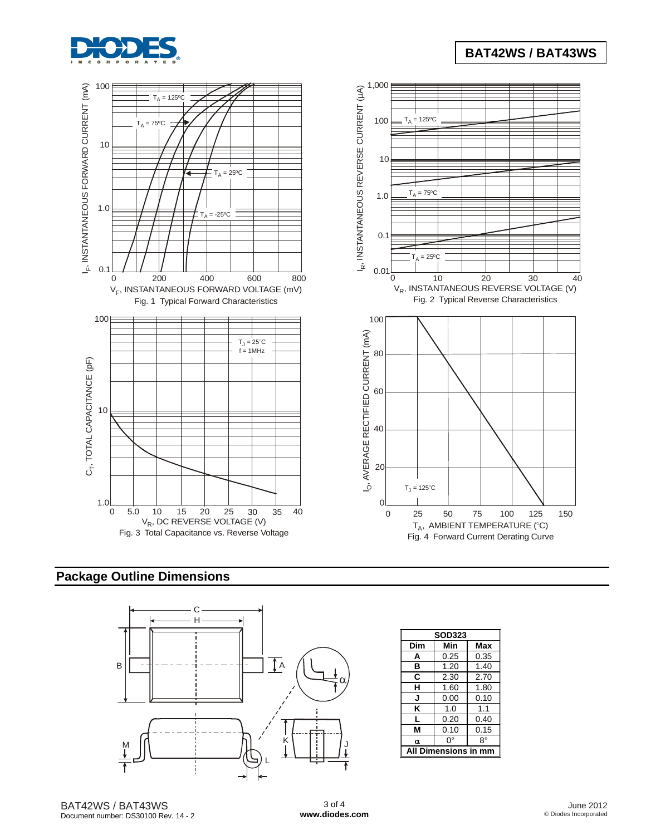

**BAT42WS / BAT43WS**



# **Package Outline Dimensions**



| <b>SOD323</b>            |      |      |  |
|--------------------------|------|------|--|
| Dim                      | Min  | Max  |  |
| A                        | 0.25 | 0.35 |  |
| в                        | 1.20 | 1.40 |  |
| С                        | 2.30 | 2.70 |  |
| н                        | 1.60 | 1.80 |  |
| J                        | 0.00 | 0.10 |  |
| κ                        | 1.0  | 1.1  |  |
| L                        | 0.20 | 0.40 |  |
| м                        | 0.10 | 0.15 |  |
| α                        | n۰   | 8°   |  |
| l Dimensions in mm<br>ΔI |      |      |  |